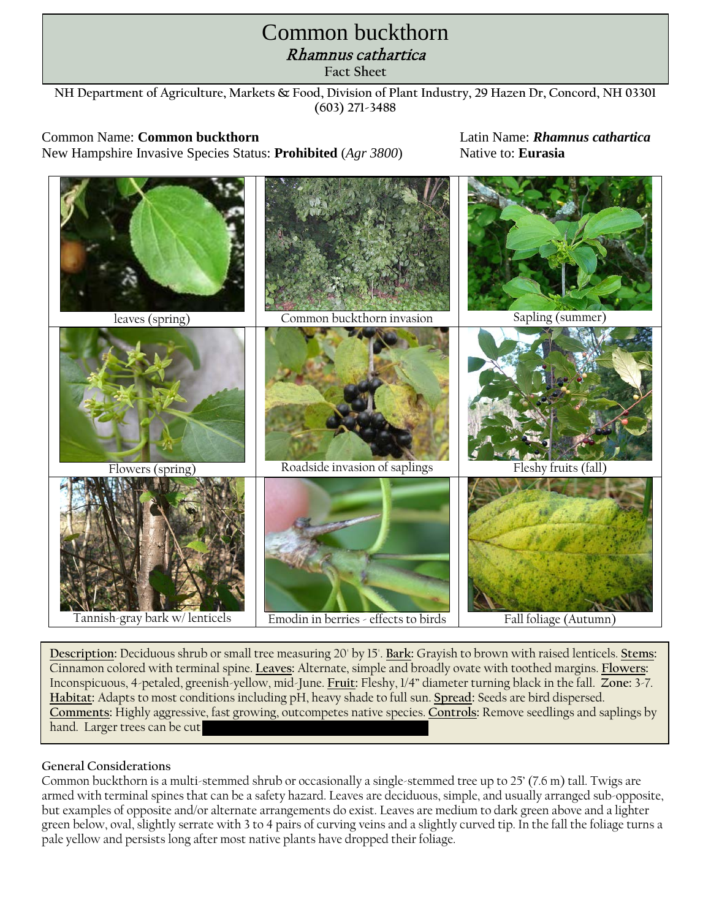# **Oriental bittersweet** Rhamnus cathartica **Control Guidelines Fact Sheet** Common buckthorn

**NH Department of Agriculture, Markets & Food, Division of Plant Industry, 29 Hazen Dr, Concord, NH 03301 (603) 271-3488**

Common Name: **Common buckthorn** Latin Name: *Rhamnus cathartica* New Hampshire Invasive Species Status: **Prohibited** (*Agr 3800*) Native to: **Eurasia**



**Description:** Deciduous shrub or small tree measuring 20' by 15'. **Bark:** Grayish to brown with raised lenticels. **Stems:**  Cinnamon colored with terminal spine. **Leaves:** Alternate, simple and broadly ovate with toothed margins. **Flowers:**  Inconspicuous, 4-petaled, greenish-yellow, mid-June. **Fruit:** Fleshy, 1/4" diameter turning black in the fall. **Zone:** 3-7. **Habitat:** Adapts to most conditions including pH, heavy shade to full sun. **Spread:** Seeds are bird dispersed. **Comments:** Highly aggressive, fast growing, outcompetes native species. **Controls:** Remove seedlings and saplings by hand. Larger trees can be cut

## **General Considerations**

Common buckthorn is a multi-stemmed shrub or occasionally a single-stemmed tree up to 25' (7.6 m) tall. Twigs are armed with terminal spines that can be a safety hazard. Leaves are deciduous, simple, and usually arranged sub-opposite, but examples of opposite and/or alternate arrangements do exist. Leaves are medium to dark green above and a lighter green below, oval, slightly serrate with 3 to 4 pairs of curving veins and a slightly curved tip. In the fall the foliage turns a pale yellow and persists long after most native plants have dropped their foliage.